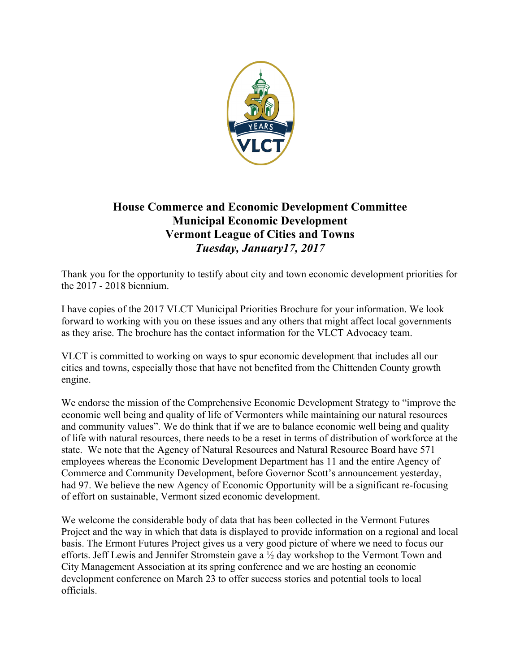

## **House Commerce and Economic Development Committee Municipal Economic Development Vermont League of Cities and Towns** *Tuesday, January17, 2017*

Thank you for the opportunity to testify about city and town economic development priorities for the 2017 - 2018 biennium.

I have copies of the 2017 VLCT Municipal Priorities Brochure for your information. We look forward to working with you on these issues and any others that might affect local governments as they arise. The brochure has the contact information for the VLCT Advocacy team.

VLCT is committed to working on ways to spur economic development that includes all our cities and towns, especially those that have not benefited from the Chittenden County growth engine.

We endorse the mission of the Comprehensive Economic Development Strategy to "improve the economic well being and quality of life of Vermonters while maintaining our natural resources and community values". We do think that if we are to balance economic well being and quality of life with natural resources, there needs to be a reset in terms of distribution of workforce at the state. We note that the Agency of Natural Resources and Natural Resource Board have 571 employees whereas the Economic Development Department has 11 and the entire Agency of Commerce and Community Development, before Governor Scott's announcement yesterday, had 97. We believe the new Agency of Economic Opportunity will be a significant re-focusing of effort on sustainable, Vermont sized economic development.

We welcome the considerable body of data that has been collected in the Vermont Futures Project and the way in which that data is displayed to provide information on a regional and local basis. The Ermont Futures Project gives us a very good picture of where we need to focus our efforts. Jeff Lewis and Jennifer Stromstein gave a ½ day workshop to the Vermont Town and City Management Association at its spring conference and we are hosting an economic development conference on March 23 to offer success stories and potential tools to local officials.